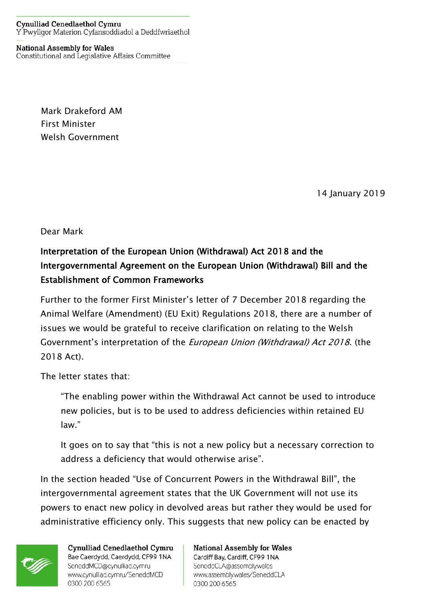**National Assembly for Wales** Constitutional and Legislative Affairs Committee

> Mark Drakeford AM First Minister Welsh Government

> > 14 January 2019

Dear Mark

## Interpretation of the European Union (Withdrawal) Act 2018 and the Intergovernmental Agreement on the European Union (Withdrawal) Bill and the Establishment of Common Frameworks

Further to the former First Minister's letter of 7 December 2018 regarding the Animal Welfare (Amendment) (EU Exit) Regulations 2018, there are a number of issues we would be grateful to receive clarification on relating to the Welsh Government's interpretation of the European Union (Withdrawal) Act 2018. (the 2018 Act).

The letter states that:

"The enabling power within the Withdrawal Act cannot be used to introduce new policies, but is to be used to address deficiencies within retained EU law."

It goes on to say that "this is not a new policy but a necessary correction to address a deficiency that would otherwise arise".

In the section headed "Use of Concurrent Powers in the Withdrawal Bill", the intergovernmental agreement states that the UK Government will not use its powers to enact new policy in devolved areas but rather they would be used for administrative efficiency only. This suggests that new policy can be enacted by



Cynulliad Cenedlaethol Cymru Bae Caerdydd, Caerdydd, CF99 1NA SeneddMCD@cynulliad.cymru www.cynulliad.cymru/SeneddMCD 0300 200 6565

**National Assembly for Wales** Cardiff Bay, Cardiff, CF99 1NA SeneddCLA@assembly.wales www.assembly.wales/SeneddCLA 0300 200 6565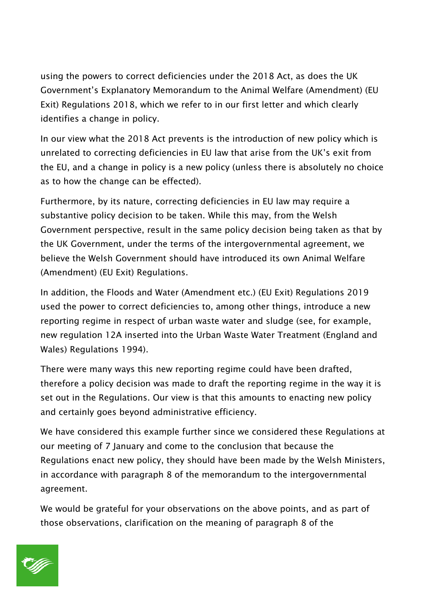using the powers to correct deficiencies under the 2018 Act, as does the UK Government's Explanatory Memorandum to the Animal Welfare (Amendment) (EU Exit) Regulations 2018, which we refer to in our first letter and which clearly identifies a change in policy.

In our view what the 2018 Act prevents is the introduction of new policy which is unrelated to correcting deficiencies in EU law that arise from the UK's exit from the EU, and a change in policy is a new policy (unless there is absolutely no choice as to how the change can be effected).

Furthermore, by its nature, correcting deficiencies in EU law may require a substantive policy decision to be taken. While this may, from the Welsh Government perspective, result in the same policy decision being taken as that by the UK Government, under the terms of the intergovernmental agreement, we believe the Welsh Government should have introduced its own Animal Welfare (Amendment) (EU Exit) Regulations.

In addition, the Floods and Water (Amendment etc.) (EU Exit) Regulations 2019 used the power to correct deficiencies to, among other things, introduce a new reporting regime in respect of urban waste water and sludge (see, for example, new regulation 12A inserted into the Urban Waste Water Treatment (England and Wales) Regulations 1994).

There were many ways this new reporting regime could have been drafted, therefore a policy decision was made to draft the reporting regime in the way it is set out in the Regulations. Our view is that this amounts to enacting new policy and certainly goes beyond administrative efficiency.

We have considered this example further since we considered these Regulations at our meeting of 7 January and come to the conclusion that because the Regulations enact new policy, they should have been made by the Welsh Ministers, in accordance with paragraph 8 of the memorandum to the intergovernmental agreement.

We would be grateful for your observations on the above points, and as part of those observations, clarification on the meaning of paragraph 8 of the